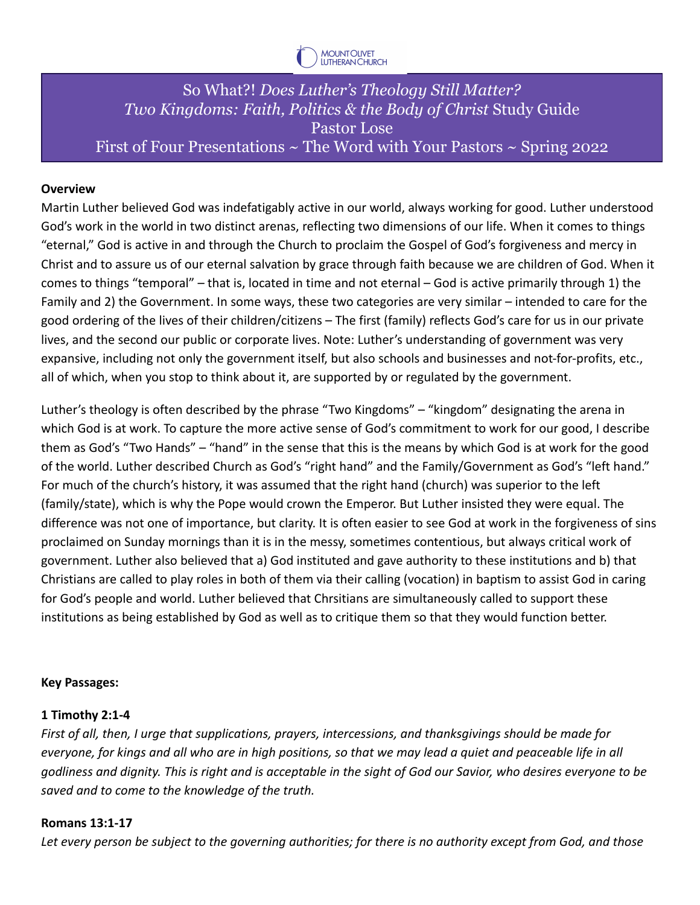

# So What?! *Does Luther's Theology Still Matter? Two Kingdoms: Faith, Politics & the Body of Christ* Study Guide Pastor Lose First of Four Presentations  $\sim$  The Word with Your Pastors  $\sim$  Spring 2022

### **Overview**

Martin Luther believed God was indefatigably active in our world, always working for good. Luther understood God's work in the world in two distinct arenas, reflecting two dimensions of our life. When it comes to things "eternal," God is active in and through the Church to proclaim the Gospel of God's forgiveness and mercy in Christ and to assure us of our eternal salvation by grace through faith because we are children of God. When it comes to things "temporal" – that is, located in time and not eternal – God is active primarily through 1) the Family and 2) the Government. In some ways, these two categories are very similar – intended to care for the good ordering of the lives of their children/citizens – The first (family) reflects God's care for us in our private lives, and the second our public or corporate lives. Note: Luther's understanding of government was very expansive, including not only the government itself, but also schools and businesses and not-for-profits, etc., all of which, when you stop to think about it, are supported by or regulated by the government.

Luther's theology is often described by the phrase "Two Kingdoms" – "kingdom" designating the arena in which God is at work. To capture the more active sense of God's commitment to work for our good, I describe them as God's "Two Hands" – "hand" in the sense that this is the means by which God is at work for the good of the world. Luther described Church as God's "right hand" and the Family/Government as God's "left hand." For much of the church's history, it was assumed that the right hand (church) was superior to the left (family/state), which is why the Pope would crown the Emperor. But Luther insisted they were equal. The difference was not one of importance, but clarity. It is often easier to see God at work in the forgiveness of sins proclaimed on Sunday mornings than it is in the messy, sometimes contentious, but always critical work of government. Luther also believed that a) God instituted and gave authority to these institutions and b) that Christians are called to play roles in both of them via their calling (vocation) in baptism to assist God in caring for God's people and world. Luther believed that Chrsitians are simultaneously called to support these institutions as being established by God as well as to critique them so that they would function better.

#### **Key Passages:**

#### **1 Timothy 2:1-4**

*First of all, then, I urge that supplications, prayers, intercessions, and thanksgivings should be made for everyone, for kings and all who are in high positions, so that we may lead a quiet and peaceable life in all godliness and dignity. This is right and is acceptable in the sight of God our Savior, who desires everyone to be saved and to come to the knowledge of the truth.*

#### **Romans 13:1-17**

*Let every person be subject to the governing authorities; for there is no authority except from God, and those*